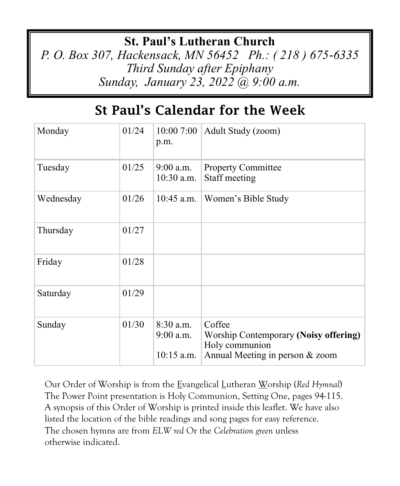#### **St. Paul's Lutheran Church**

*P. O. Box 307, Hackensack, MN 56452 Ph.: ( 218 ) 675-6335 Third Sunday after Epiphany Sunday, January 23, 2022 @ 9:00 a.m.*

## St Paul's Calendar for the Week

| Monday    | 01/24 | 10:007:00<br>p.m.                          | Adult Study (zoom)                                                                                   |
|-----------|-------|--------------------------------------------|------------------------------------------------------------------------------------------------------|
| Tuesday   | 01/25 | $9:00$ a.m.<br>$10:30$ a.m.                | <b>Property Committee</b><br>Staff meeting                                                           |
| Wednesday | 01/26 | $10:45$ a.m.                               | Women's Bible Study                                                                                  |
| Thursday  | 01/27 |                                            |                                                                                                      |
| Friday    | 01/28 |                                            |                                                                                                      |
| Saturday  | 01/29 |                                            |                                                                                                      |
| Sunday    | 01/30 | $8:30$ a.m.<br>$9:00$ a.m.<br>$10:15$ a.m. | Coffee<br>Worship Contemporary (Noisy offering)<br>Holy communion<br>Annual Meeting in person & zoom |

Our Order of Worship is from the Evangelical Lutheran Worship (*Red Hymnal*) The Power Point presentation is Holy Communion, Setting One, pages 94-115. A synopsis of this Order of Worship is printed inside this leaflet. We have also listed the location of the bible readings and song pages for easy reference. The chosen hymns are from *ELW red* Or the *Celebration green* unless otherwise indicated.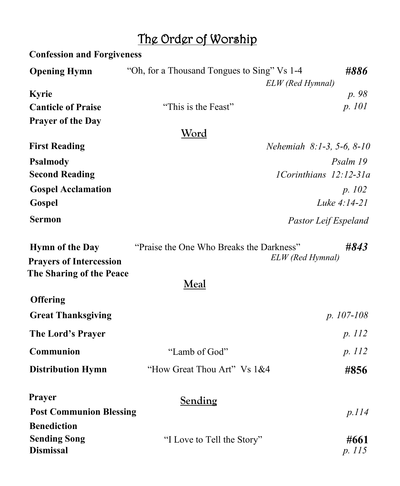## The Order of Worship

| <b>Confession and Forgiveness</b>                        |                                                     |                             |  |  |
|----------------------------------------------------------|-----------------------------------------------------|-----------------------------|--|--|
| <b>Opening Hymn</b>                                      | "Oh, for a Thousand Tongues to Sing" Vs 1-4<br>#886 |                             |  |  |
|                                                          |                                                     | ELW (Red Hymnal)            |  |  |
| <b>Kyrie</b>                                             |                                                     | p. 98                       |  |  |
| <b>Canticle of Praise</b>                                | "This is the Feast"                                 | p. 101                      |  |  |
| <b>Prayer of the Day</b>                                 |                                                     |                             |  |  |
|                                                          | <u>Word</u>                                         |                             |  |  |
| <b>First Reading</b>                                     |                                                     | Nehemiah $8:1-3, 5-6, 8-10$ |  |  |
| Psalmody                                                 |                                                     | Psalm 19                    |  |  |
| <b>Second Reading</b>                                    | 1Corinthians 12:12-31a                              |                             |  |  |
| <b>Gospel Acclamation</b>                                |                                                     | p. 102                      |  |  |
| Gospel                                                   |                                                     | Luke 4:14-21                |  |  |
| <b>Sermon</b>                                            | Pastor Leif Espeland                                |                             |  |  |
| <b>Hymn of the Day</b><br><b>Prayers of Intercession</b> | "Praise the One Who Breaks the Darkness"            | #843<br>ELW (Red Hymnal)    |  |  |
| The Sharing of the Peace                                 | Meal                                                |                             |  |  |
| <b>Offering</b>                                          |                                                     |                             |  |  |
| <b>Great Thanksgiving</b>                                |                                                     | $p. 107 - 108$              |  |  |
| The Lord's Prayer                                        |                                                     | p. 112                      |  |  |
| <b>Communion</b>                                         | "Lamb of God"                                       | p. 112                      |  |  |
| <b>Distribution Hymn</b>                                 | "How Great Thou Art" Vs 1&4                         | #856                        |  |  |
| Prayer                                                   | <b>Sending</b>                                      |                             |  |  |
| <b>Post Communion Blessing</b>                           |                                                     | p.114                       |  |  |
| <b>Benediction</b>                                       |                                                     |                             |  |  |
| <b>Sending Song</b><br><b>Dismissal</b>                  | "I Love to Tell the Story"                          | #661<br>p. 115              |  |  |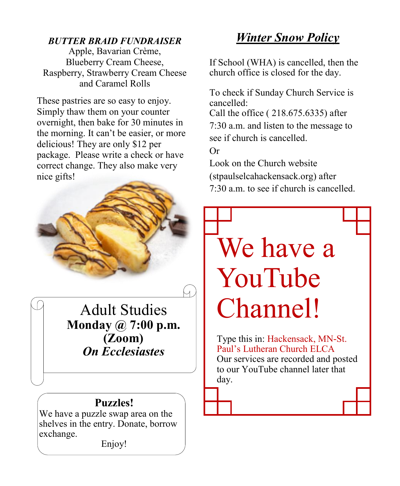#### *BUTTER BRAID FUNDRAISER*

Apple, Bavarian Crème, Blueberry Cream Cheese, Raspberry, Strawberry Cream Cheese and Caramel Rolls

These pastries are so easy to enjoy. Simply thaw them on your counter overnight, then bake for 30 minutes in the morning. It can't be easier, or more delicious! They are only \$12 per package. Please write a check or have correct change. They also make very nice gifts!



Adult Studies **Monday @ 7:00 p.m. (Zoom)** *On Ecclesiastes*

#### **Puzzles!**

We have a puzzle swap area on the shelves in the entry. Donate, borrow exchange.

Enjoy!

### *Winter Snow Policy*

If School (WHA) is cancelled, then the church office is closed for the day.

To check if Sunday Church Service is cancelled: Call the office ( 218.675.6335) after 7:30 a.m. and listen to the message to see if church is cancelled. Or

Look on the Church website (stpaulselcahackensack.org) after 7:30 a.m. to see if church is cancelled.

# We have a YouTube Channel!

Type this in: Hackensack, MN-St. Paul's Lutheran Church ELCA Our services are recorded and posted to our YouTube channel later that day.